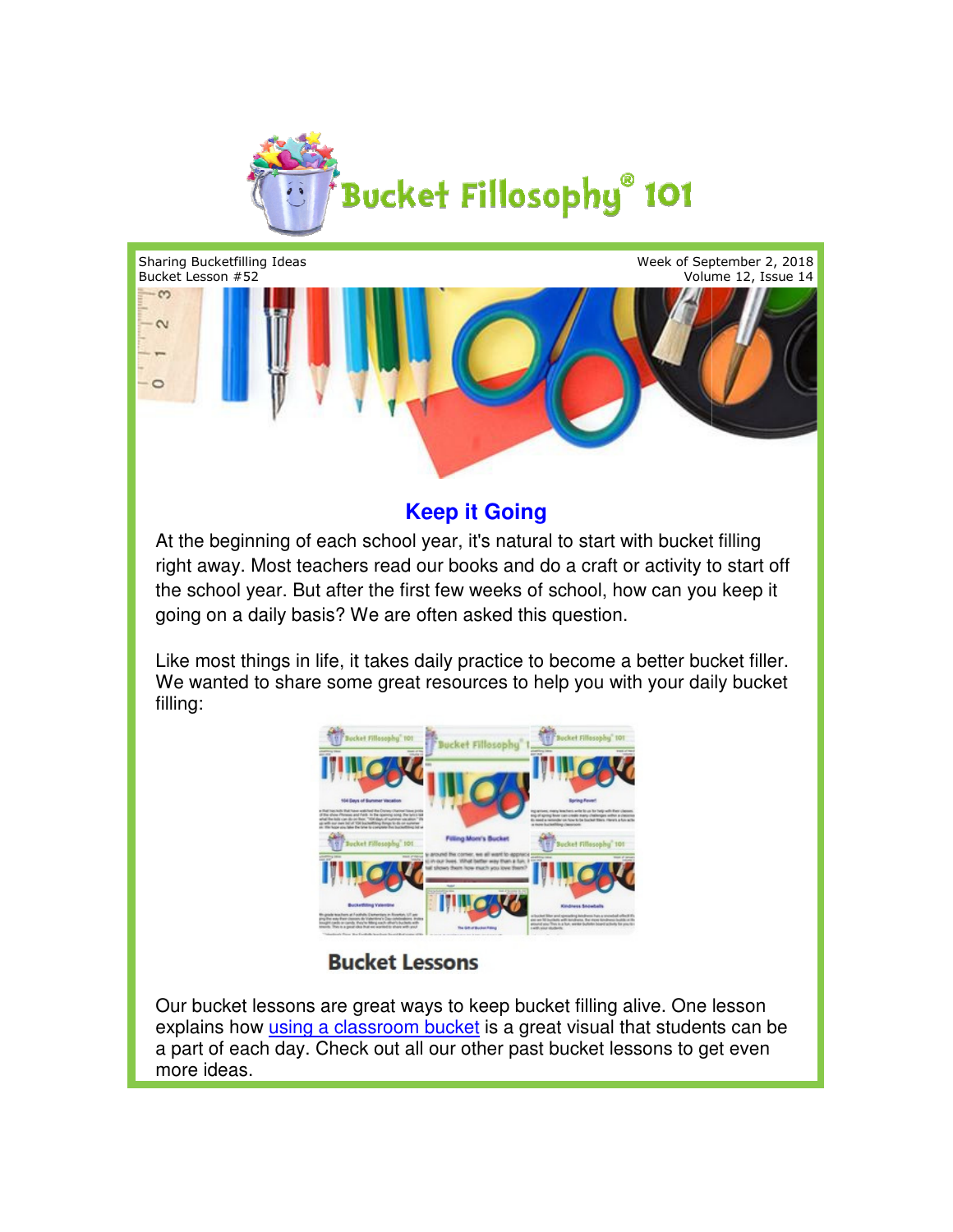

Sharing Bucketfilling Ideas

Week of September 2, 2018 Volume 12, Issue 14



## **Keep it Going**

At the beginning of each school year, it's natural to start with bucket filling right away. Most teachers read our books and do a craft or activity to start off the school year. But after the first few weeks of school, how can you keep it going on a daily basis? We are often asked this question. I away. Most teachers read our books and<br>school year. But after the first few weeks<br>g on a daily basis? We are often asked th<br>most things in life, it takes daily practice<br>wanted to share some great resources to

Like most things in life, it takes daily practice to become a better bucket filler. We wanted to share some great resources to help you with your daily bucket filling:



Our bucket lessons are great ways to keep bucket filling alive. One lesson explains how *[using a classroom bucket](http://www.bucketfillers101.com/pdfs/news2009/2009-03-08.pdf)* is a great visual that students can be a part of each day. Check out all our other past bucket lessons to get even more ideas.